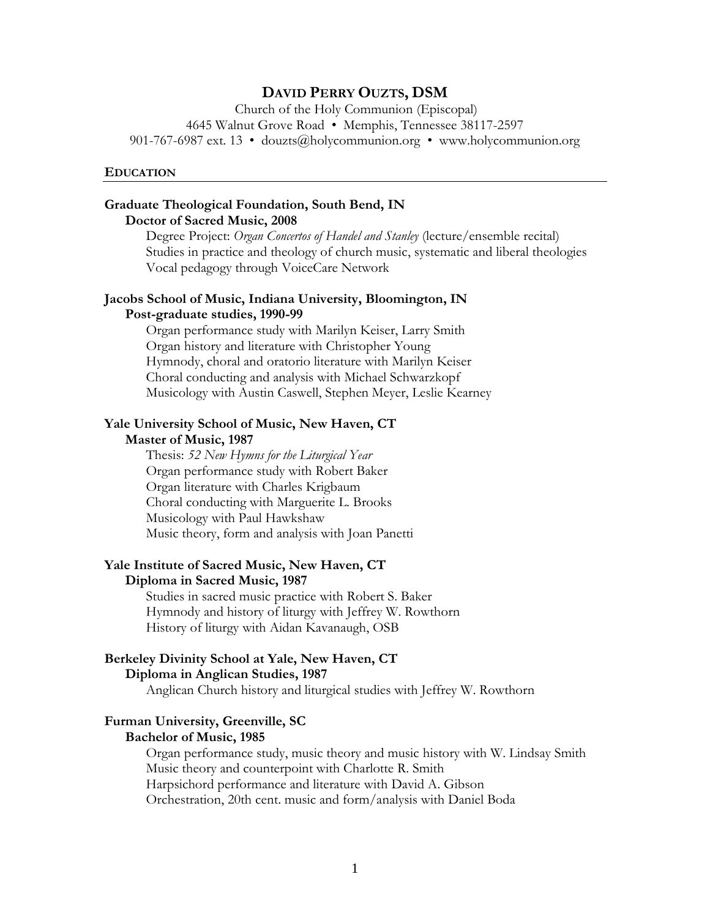# **DAVID PERRY OUZTS, DSM**

Church of the Holy Communion (Episcopal) 4645 Walnut Grove Road • Memphis, Tennessee 38117-2597 901-767-6987 ext. 13 • douzts@holycommunion.org • www.holycommunion.org

#### **EDUCATION**

## **Graduate Theological Foundation, South Bend, IN Doctor of Sacred Music, 2008**

Degree Project: *Organ Concertos of Handel and Stanley* (lecture/ensemble recital) Studies in practice and theology of church music, systematic and liberal theologies Vocal pedagogy through VoiceCare Network

# **Jacobs School of Music, Indiana University, Bloomington, IN Post-graduate studies, 1990-99**

Organ performance study with Marilyn Keiser, Larry Smith Organ history and literature with Christopher Young Hymnody, choral and oratorio literature with Marilyn Keiser Choral conducting and analysis with Michael Schwarzkopf Musicology with Austin Caswell, Stephen Meyer, Leslie Kearney

## **Yale University School of Music, New Haven, CT Master of Music, 1987**

Thesis: *52 New Hymns for the Liturgical Year* Organ performance study with Robert Baker Organ literature with Charles Krigbaum Choral conducting with Marguerite L. Brooks Musicology with Paul Hawkshaw Music theory, form and analysis with Joan Panetti

# **Yale Institute of Sacred Music, New Haven, CT**

## **Diploma in Sacred Music, 1987**

Studies in sacred music practice with Robert S. Baker Hymnody and history of liturgy with Jeffrey W. Rowthorn History of liturgy with Aidan Kavanaugh, OSB

# **Berkeley Divinity School at Yale, New Haven, CT Diploma in Anglican Studies, 1987**

Anglican Church history and liturgical studies with Jeffrey W. Rowthorn

#### **Furman University, Greenville, SC Bachelor of Music, 1985**

Organ performance study, music theory and music history with W. Lindsay Smith Music theory and counterpoint with Charlotte R. Smith Harpsichord performance and literature with David A. Gibson Orchestration, 20th cent. music and form/analysis with Daniel Boda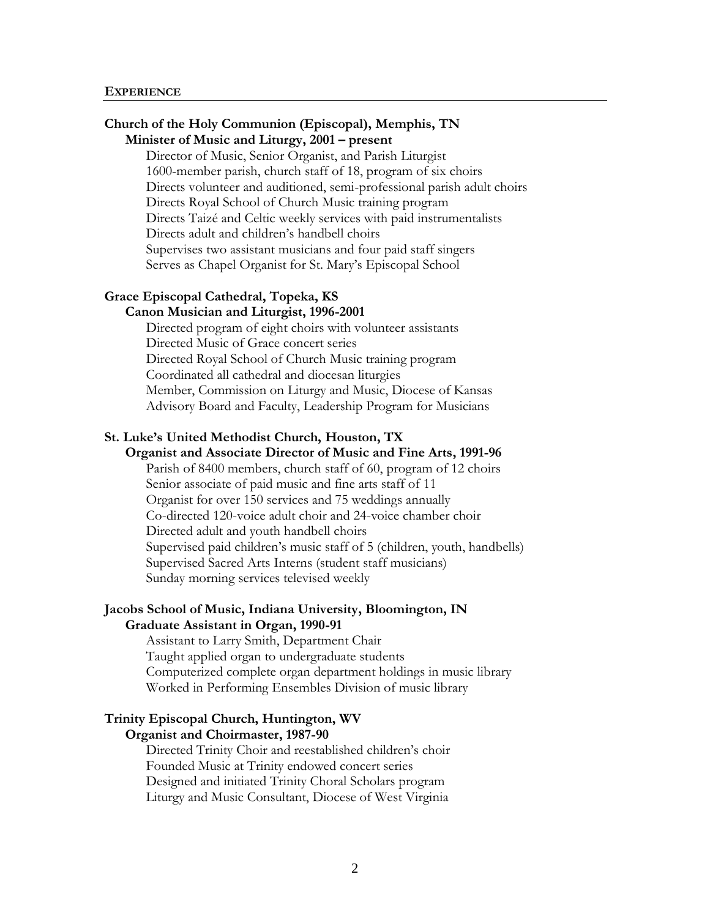#### **EXPERIENCE**

# **Church of the Holy Communion (Episcopal), Memphis, TN Minister of Music and Liturgy, 2001 – present**

Director of Music, Senior Organist, and Parish Liturgist 1600-member parish, church staff of 18, program of six choirs Directs volunteer and auditioned, semi-professional parish adult choirs Directs Royal School of Church Music training program Directs Taizé and Celtic weekly services with paid instrumentalists Directs adult and children's handbell choirs Supervises two assistant musicians and four paid staff singers Serves as Chapel Organist for St. Mary's Episcopal School

#### **Grace Episcopal Cathedral, Topeka, KS Canon Musician and Liturgist, 1996-2001**

Directed program of eight choirs with volunteer assistants Directed Music of Grace concert series Directed Royal School of Church Music training program Coordinated all cathedral and diocesan liturgies Member, Commission on Liturgy and Music, Diocese of Kansas Advisory Board and Faculty, Leadership Program for Musicians

# **St. Luke's United Methodist Church, Houston, TX**

# **Organist and Associate Director of Music and Fine Arts, 1991-96**

Parish of 8400 members, church staff of 60, program of 12 choirs Senior associate of paid music and fine arts staff of 11 Organist for over 150 services and 75 weddings annually Co-directed 120-voice adult choir and 24-voice chamber choir Directed adult and youth handbell choirs Supervised paid children's music staff of 5 (children, youth, handbells) Supervised Sacred Arts Interns (student staff musicians) Sunday morning services televised weekly

#### **Jacobs School of Music, Indiana University, Bloomington, IN Graduate Assistant in Organ, 1990-91**

Assistant to Larry Smith, Department Chair Taught applied organ to undergraduate students Computerized complete organ department holdings in music library Worked in Performing Ensembles Division of music library

#### **Trinity Episcopal Church, Huntington, WV Organist and Choirmaster, 1987-90**

Directed Trinity Choir and reestablished children's choir Founded Music at Trinity endowed concert series Designed and initiated Trinity Choral Scholars program Liturgy and Music Consultant, Diocese of West Virginia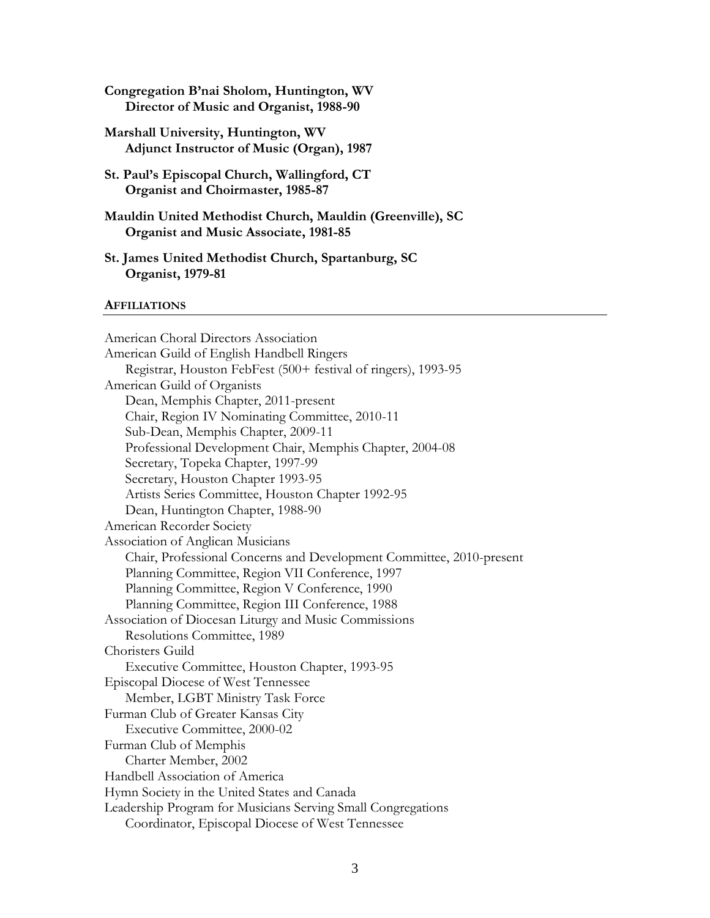- **Congregation B'nai Sholom, Huntington, WV Director of Music and Organist, 1988-90**
- **Marshall University, Huntington, WV Adjunct Instructor of Music (Organ), 1987**
- **St. Paul's Episcopal Church, Wallingford, CT Organist and Choirmaster, 1985-87**
- **Mauldin United Methodist Church, Mauldin (Greenville), SC Organist and Music Associate, 1981-85**
- **St. James United Methodist Church, Spartanburg, SC Organist, 1979-81**

#### **AFFILIATIONS**

American Choral Directors Association American Guild of English Handbell Ringers Registrar, Houston FebFest (500+ festival of ringers), 1993-95 American Guild of Organists Dean, Memphis Chapter, 2011-present Chair, Region IV Nominating Committee, 2010-11 Sub-Dean, Memphis Chapter, 2009-11 Professional Development Chair, Memphis Chapter, 2004-08 Secretary, Topeka Chapter, 1997-99 Secretary, Houston Chapter 1993-95 Artists Series Committee, Houston Chapter 1992-95 Dean, Huntington Chapter, 1988-90 American Recorder Society Association of Anglican Musicians Chair, Professional Concerns and Development Committee, 2010-present Planning Committee, Region VII Conference, 1997 Planning Committee, Region V Conference, 1990 Planning Committee, Region III Conference, 1988 Association of Diocesan Liturgy and Music Commissions Resolutions Committee, 1989 Choristers Guild Executive Committee, Houston Chapter, 1993-95 Episcopal Diocese of West Tennessee Member, LGBT Ministry Task Force Furman Club of Greater Kansas City Executive Committee, 2000-02 Furman Club of Memphis Charter Member, 2002 Handbell Association of America Hymn Society in the United States and Canada Leadership Program for Musicians Serving Small Congregations Coordinator, Episcopal Diocese of West Tennessee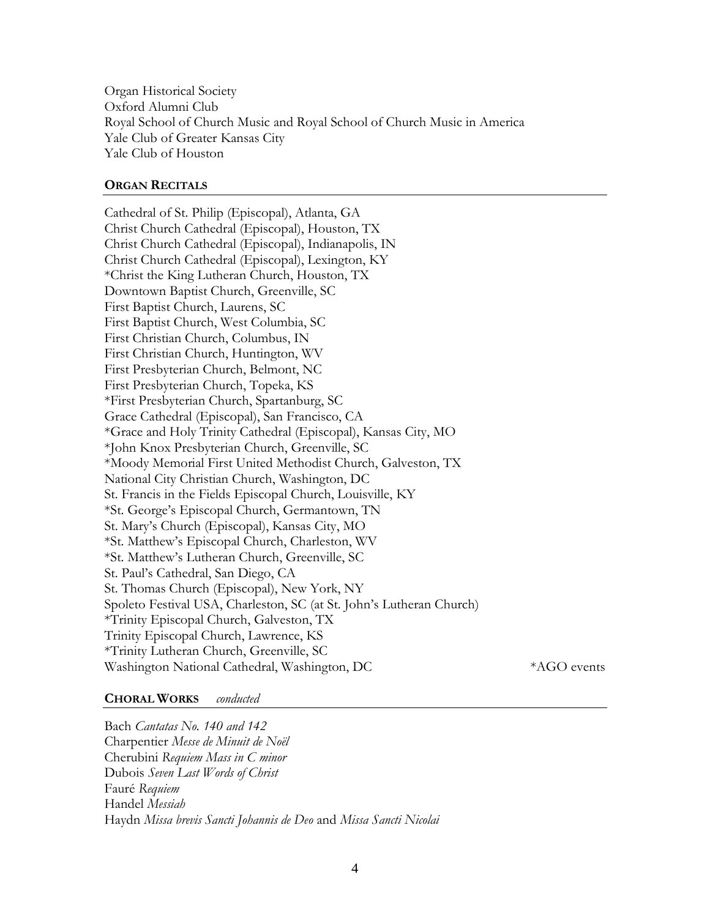Organ Historical Society Oxford Alumni Club Royal School of Church Music and Royal School of Church Music in America Yale Club of Greater Kansas City Yale Club of Houston

# **ORGAN RECITALS**

Cathedral of St. Philip (Episcopal), Atlanta, GA Christ Church Cathedral (Episcopal), Houston, TX Christ Church Cathedral (Episcopal), Indianapolis, IN Christ Church Cathedral (Episcopal), Lexington, KY \*Christ the King Lutheran Church, Houston, TX Downtown Baptist Church, Greenville, SC First Baptist Church, Laurens, SC First Baptist Church, West Columbia, SC First Christian Church, Columbus, IN First Christian Church, Huntington, WV First Presbyterian Church, Belmont, NC First Presbyterian Church, Topeka, KS \*First Presbyterian Church, Spartanburg, SC Grace Cathedral (Episcopal), San Francisco, CA \*Grace and Holy Trinity Cathedral (Episcopal), Kansas City, MO \*John Knox Presbyterian Church, Greenville, SC \*Moody Memorial First United Methodist Church, Galveston, TX National City Christian Church, Washington, DC St. Francis in the Fields Episcopal Church, Louisville, KY \*St. George's Episcopal Church, Germantown, TN St. Mary's Church (Episcopal), Kansas City, MO \*St. Matthew's Episcopal Church, Charleston, WV \*St. Matthew's Lutheran Church, Greenville, SC St. Paul's Cathedral, San Diego, CA St. Thomas Church (Episcopal), New York, NY Spoleto Festival USA, Charleston, SC (at St. John's Lutheran Church) \*Trinity Episcopal Church, Galveston, TX Trinity Episcopal Church, Lawrence, KS \*Trinity Lutheran Church, Greenville, SC Washington National Cathedral, Washington, DC  $*AGO$  events

# **CHORAL WORKS** *conducted*

# Bach *Cantatas No. 140 and 142* Charpentier *Messe de Minuit de Noël* Cherubini *Requiem Mass in C minor* Dubois *Seven Last Words of Christ* Fauré *Requiem* Handel *Messiah* Haydn *Missa brevis Sancti Johannis de Deo* and *Missa Sancti Nicolai*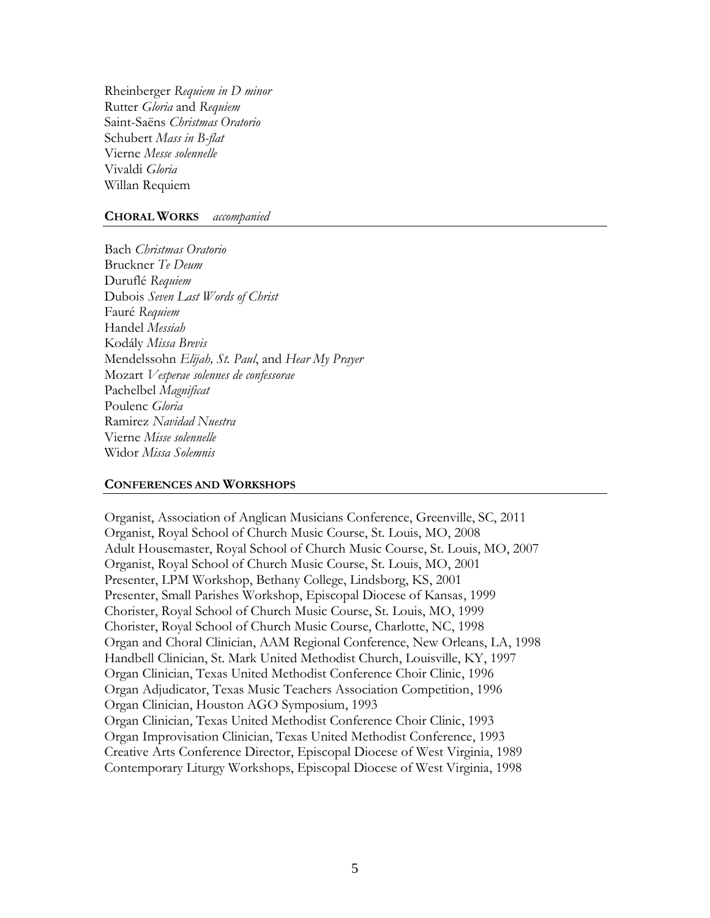Rheinberger *Requiem in D minor* Rutter *Gloria* and *Requiem* Saint-Saëns *Christmas Oratorio* Schubert *Mass in B-flat* Vierne *Messe solennelle* Vivaldi *Gloria* Willan Requiem

#### **CHORAL WORKS** *accompanied*

Bach *Christmas Oratorio* Bruckner *Te Deum* Duruflé *Requiem* Dubois *Seven Last Words of Christ* Fauré *Requiem* Handel *Messiah* Kodály *Missa Brevis* Mendelssohn *Elijah, St. Paul*, and *Hear My Prayer* Mozart *Vesperae solennes de confessorae* Pachelbel *Magnificat* Poulenc *Gloria* Ramirez *Navidad Nuestra* Vierne *Misse solennelle* Widor *Missa Solemnis*

#### **CONFERENCES AND WORKSHOPS**

Organist, Association of Anglican Musicians Conference, Greenville, SC, 2011 Organist, Royal School of Church Music Course, St. Louis, MO, 2008 Adult Housemaster, Royal School of Church Music Course, St. Louis, MO, 2007 Organist, Royal School of Church Music Course, St. Louis, MO, 2001 Presenter, LPM Workshop, Bethany College, Lindsborg, KS, 2001 Presenter, Small Parishes Workshop, Episcopal Diocese of Kansas, 1999 Chorister, Royal School of Church Music Course, St. Louis, MO, 1999 Chorister, Royal School of Church Music Course, Charlotte, NC, 1998 Organ and Choral Clinician, AAM Regional Conference, New Orleans, LA, 1998 Handbell Clinician, St. Mark United Methodist Church, Louisville, KY, 1997 Organ Clinician, Texas United Methodist Conference Choir Clinic, 1996 Organ Adjudicator, Texas Music Teachers Association Competition, 1996 Organ Clinician, Houston AGO Symposium, 1993 Organ Clinician, Texas United Methodist Conference Choir Clinic, 1993 Organ Improvisation Clinician, Texas United Methodist Conference, 1993 Creative Arts Conference Director, Episcopal Diocese of West Virginia, 1989 Contemporary Liturgy Workshops, Episcopal Diocese of West Virginia, 1998